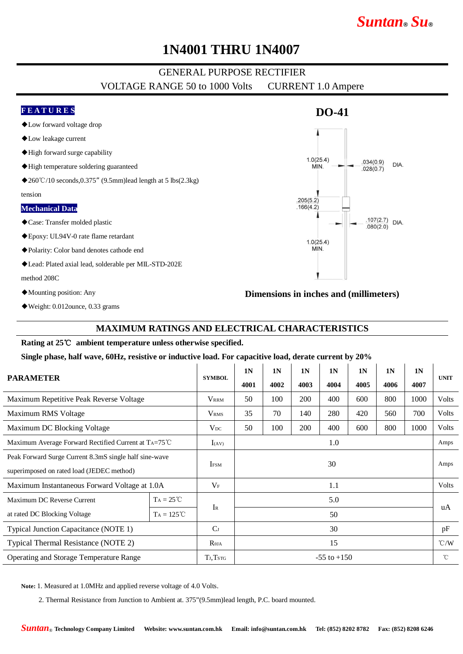# *Suntan***®** *Su***®**

## **1N4001 THRU 1N4007**

### GENERAL PURPOSE RECTIFIER

VOLTAGE RANGE 50 to 1000 Volts CURRENT 1.0 Ampere

### **F E A T U R E S**

- ◆Low forward voltage drop
- ◆Low leakage current
- ◆High forward surge capability
- ◆High temperature soldering guaranteed
- ◆260°C/10 seconds,0.375″ (9.5mm)lead length at 5 lbs(2.3kg)

#### tension

#### **Mechanical Data**

- ◆Case: Transfer molded plastic
- ◆Epoxy: UL94V-0 rate flame retardant
- ◆Polarity: Color band denotes cathode end
- ◆Lead: Plated axial lead, solderable per MIL-STD-202E

#### method 208C

 $\overline{a}$ 

- ◆Mounting position: Any
- ◆Weight: 0.012ounce, 0.33 grams

### **MAXIMUM RATINGS AND ELECTRICAL CHARACTERISTICS**

#### **Rating at 25**℃ **ambient temperature unless otherwise specified.**

**Single phase, half wave, 60Hz, resistive or inductive load. For capacitive load, derate current by 20%**

| <b>PARAMETER</b>                                                                                    |                     | <b>SYMBOL</b>   | 1 <sub>N</sub><br>4001 | 1 <sub>N</sub><br>4002 | 1 <sub>N</sub><br>4003 | 1 <sub>N</sub><br>4004 | 1 <sub>N</sub><br>4005 | 1 <sub>N</sub><br>4006 | 1N<br>4007 | <b>UNIT</b>   |
|-----------------------------------------------------------------------------------------------------|---------------------|-----------------|------------------------|------------------------|------------------------|------------------------|------------------------|------------------------|------------|---------------|
| Maximum Repetitive Peak Reverse Voltage                                                             |                     | <b>VRRM</b>     | 50                     | 100                    | 200                    | 400                    | 600                    | 800                    | 1000       | <b>Volts</b>  |
| Maximum RMS Voltage                                                                                 |                     | <b>VRMS</b>     | 35                     | 70                     | 140                    | 280                    | 420                    | 560                    | 700        | Volts         |
| Maximum DC Blocking Voltage                                                                         |                     | $V_{DC}$        | 50                     | 100                    | 200                    | 400                    | 600                    | 800                    | 1000       | Volts         |
| Maximum Average Forward Rectified Current at TA=75°C                                                |                     | $I_{(AV)}$      | 1.0                    |                        |                        |                        |                        |                        |            | Amps          |
| Peak Forward Surge Current 8.3mS single half sine-wave<br>superimposed on rated load (JEDEC method) |                     | <b>IFSM</b>     | 30                     |                        |                        |                        |                        |                        |            | Amps          |
| Maximum Instantaneous Forward Voltage at 1.0A                                                       |                     | $V_{\rm F}$     | 1.1                    |                        |                        |                        |                        |                        |            | <b>Volts</b>  |
| Maximum DC Reverse Current                                                                          | $TA = 25^{\circ}C$  |                 | 5.0                    |                        |                        |                        |                        |                        |            | uA            |
| at rated DC Blocking Voltage                                                                        | $Ta = 125^{\circ}C$ | $I_{R}$         | 50                     |                        |                        |                        |                        |                        |            |               |
| Typical Junction Capacitance (NOTE 1)                                                               |                     | C <sub>J</sub>  | 30                     |                        |                        |                        |                        |                        |            | pF            |
| Typical Thermal Resistance (NOTE 2)                                                                 |                     | $R_{\theta JA}$ | 15                     |                        |                        |                        |                        |                        |            | $\degree$ C/W |
| Operating and Storage Temperature Range                                                             |                     | TJ, Tstg        | $-55$ to $+150$        |                        |                        |                        |                        |                        |            | $^{\circ}$ C  |

**Note:** 1. Measured at 1.0MHz and applied reverse voltage of 4.0 Volts.

2. Thermal Resistance from Junction to Ambient at. 375"(9.5mm)lead length, P.C. board mounted.



**DO-41**